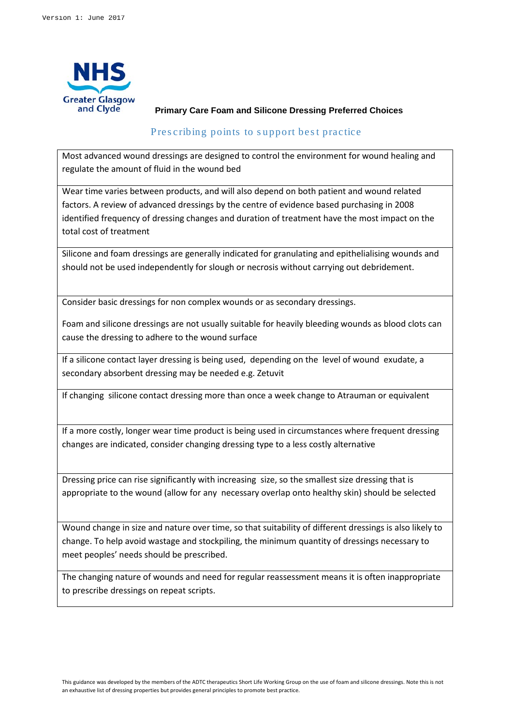

## **Primary Care Foam and Silicone Dressing Preferred Choices**

## Prescribing points to support best practice

Most advanced wound dressings are designed to control the environment for wound healing and regulate the amount of fluid in the wound bed

Wear time varies between products, and will also depend on both patient and wound related factors. A review of advanced dressings by the centre of evidence based purchasing in 2008 identified frequency of dressing changes and duration of treatment have the most impact on the total cost of treatment

Silicone and foam dressings are generally indicated for granulating and epithelialising wounds and should not be used independently for slough or necrosis without carrying out debridement.

Consider basic dressings for non complex wounds or as secondary dressings.

Foam and silicone dressings are not usually suitable for heavily bleeding wounds as blood clots can cause the dressing to adhere to the wound surface

If a silicone contact layer dressing is being used, depending on the level of wound exudate, a secondary absorbent dressing may be needed e.g. Zetuvit

If changing silicone contact dressing more than once a week change to Atrauman or equivalent

If a more costly, longer wear time product is being used in circumstances where frequent dressing changes are indicated, consider changing dressing type to a less costly alternative

Dressing price can rise significantly with increasing size, so the smallest size dressing that is appropriate to the wound (allow for any necessary overlap onto healthy skin) should be selected

Wound change in size and nature over time, so that suitability of different dressings is also likely to change. To help avoid wastage and stockpiling, the minimum quantity of dressings necessary to meet peoples' needs should be prescribed.

The changing nature of wounds and need for regular reassessment means it is often inappropriate to prescribe dressings on repeat scripts.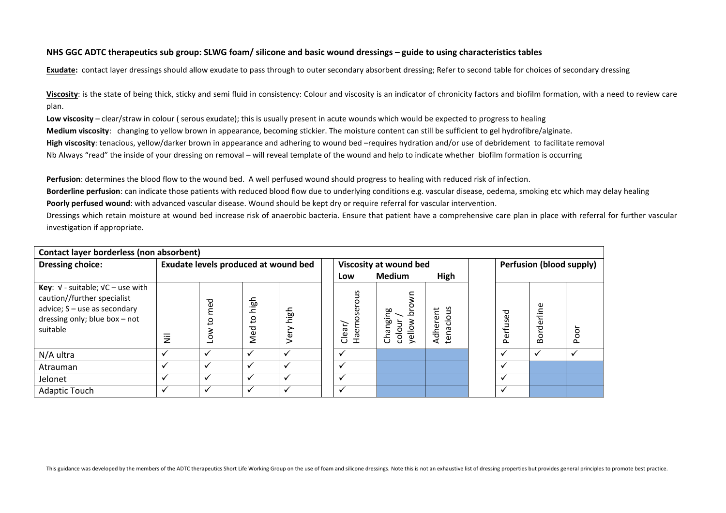## **NHS GGC ADTC therapeutics sub group: SLWG foam/ silicone and basic wound dressings – guide to using characteristics tables**

**Exudate:** contact layer dressings should allow exudate to pass through to outer secondary absorbent dressing; Refer to second table for choices of secondary dressing

**Viscosity**: is the state of being thick, sticky and semi fluid in consistency: Colour and viscosity is an indicator of chronicity factors and biofilm formation, with a need to review care plan.

**Low viscosity** – clear/straw in colour ( serous exudate); this is usually present in acute wounds which would be expected to progress to healing **Medium viscosity**: changing to yellow brown in appearance, becoming stickier. The moisture content can still be sufficient to gel hydrofibre/alginate. **High viscosity**: tenacious, yellow/darker brown in appearance and adhering to wound bed –requires hydration and/or use of debridement to facilitate removal Nb Always "read" the inside of your dressing on removal – will reveal template of the wound and help to indicate whether biofilm formation is occurring

**Perfusion** : determines the blood flow to the wound bed. A well perfused wound should progress to healing with reduced risk of infection.

**Borderline perfusion**: can indicate those patients with reduced blood flow due to underlying conditions e.g. vascular disease, oedema, smoking etc which may delay healing **Poorly perfused wound**: with advanced vascular disease. Wound should be kept dry or require referral for vascular intervention.

Dressings which retain moisture at wound bed increase risk of anaerobic bacteria. Ensure that patient have a comprehensive care plan in place with referral for further vascular investigation if appropriate.

| Contact layer borderless (non absorbent)                                                                                                                  |                                      |               |                             |                      |  |                              |                                     |                       |                          |          |                      |     |
|-----------------------------------------------------------------------------------------------------------------------------------------------------------|--------------------------------------|---------------|-----------------------------|----------------------|--|------------------------------|-------------------------------------|-----------------------|--------------------------|----------|----------------------|-----|
| <b>Dressing choice:</b>                                                                                                                                   | Exudate levels produced at wound bed |               |                             |                      |  |                              | Viscosity at wound bed              |                       | Perfusion (blood supply) |          |                      |     |
|                                                                                                                                                           |                                      |               |                             |                      |  | <b>Medium</b><br>High<br>Low |                                     |                       |                          |          |                      |     |
| <b>Key:</b> $V$ - suitable; $VC$ – use with<br>caution//further specialist<br>advice; $S$ – use as secondary<br>dressing only; blue box - not<br>suitable | $\overline{\overline{z}}$            | ್ಠಾ<br>O<br>O | high<br>$\circ$<br>ت<br>Med | high<br>er<br>ح      |  | Haemoserous<br>Clear/        | Changing<br>colour<br>$\frac{3}{2}$ | tenacious<br>Adherent |                          | Perfused | rderline<br><b>Q</b> | poo |
| N/A ultra                                                                                                                                                 |                                      | $\checkmark$  | √                           | $\ddot{\phantom{0}}$ |  | $\checkmark$                 |                                     |                       |                          |          | $\checkmark$         |     |
| Atrauman                                                                                                                                                  |                                      | $\checkmark$  | $\checkmark$                | $\checkmark$         |  | $\checkmark$                 |                                     |                       |                          |          |                      |     |
| Jelonet                                                                                                                                                   |                                      |               |                             |                      |  |                              |                                     |                       |                          |          |                      |     |
| <b>Adaptic Touch</b>                                                                                                                                      |                                      |               |                             |                      |  | $\checkmark$                 |                                     |                       |                          |          |                      |     |

This guidance was developed by the members of the ADTC therapeutics Short Life Working Group on the use of foam and silicone dressings. Note this is not an exhaustive list of dressing properties but provides general princi